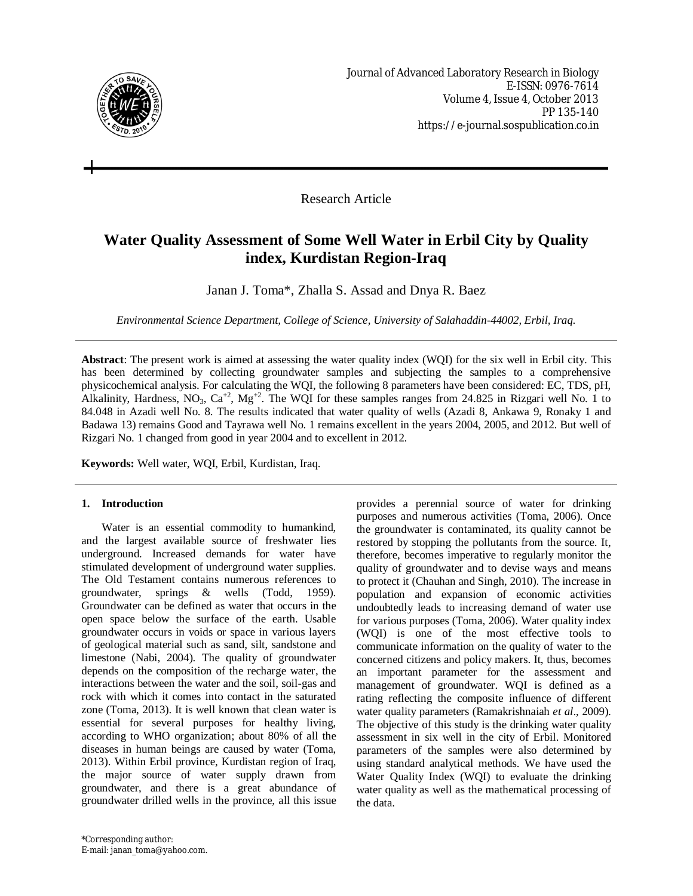

Research Article

# **Water Quality Assessment of Some Well Water in Erbil City by Quality index, Kurdistan Region-Iraq**

Janan J. Toma\*, Zhalla S. Assad and Dnya R. Baez

*Environmental Science Department, College of Science, University of Salahaddin-44002, Erbil, Iraq.*

**Abstract**: The present work is aimed at assessing the water quality index (WQI) for the six well in Erbil city. This has been determined by collecting groundwater samples and subjecting the samples to a comprehensive physicochemical analysis. For calculating the WQI, the following 8 parameters have been considered: EC, TDS, pH, Alkalinity, Hardness,  $NO_3$ ,  $Ca^{+2}$ ,  $Mg^{+2}$ . The WQI for these samples ranges from 24.825 in Rizgari well No. 1 to 84.048 in Azadi well No. 8. The results indicated that water quality of wells (Azadi 8, Ankawa 9, Ronaky 1 and Badawa 13) remains Good and Tayrawa well No. 1 remains excellent in the years 2004, 2005, and 2012. But well of Rizgari No. 1 changed from good in year 2004 and to excellent in 2012.

**Keywords:** Well water, WQI, Erbil, Kurdistan, Iraq.

## **1. Introduction**

Water is an essential commodity to humankind, and the largest available source of freshwater lies underground. Increased demands for water have stimulated development of underground water supplies. The Old Testament contains numerous references to groundwater, springs & wells (Todd, 1959). Groundwater can be defined as water that occurs in the open space below the surface of the earth. Usable groundwater occurs in voids or space in various layers of geological material such as sand, silt, sandstone and limestone (Nabi, 2004). The quality of groundwater depends on the composition of the recharge water, the interactions between the water and the soil, soil-gas and rock with which it comes into contact in the saturated zone (Toma, 2013). It is well known that clean water is essential for several purposes for healthy living, according to WHO organization; about 80% of all the diseases in human beings are caused by water (Toma, 2013). Within Erbil province, Kurdistan region of Iraq, the major source of water supply drawn from groundwater, and there is a great abundance of groundwater drilled wells in the province, all this issue

quality of groundwater and to devise ways and means to protect it (Chauhan and Singh, 2010). The increase in population and expansion of economic activities undoubtedly leads to increasing demand of water use for various purposes (Toma, 2006). Water quality index (WQI) is one of the most effective tools to communicate information on the quality of water to the concerned citizens and policy makers. It, thus, becomes an important parameter for the assessment and management of groundwater. WQI is defined as a rating reflecting the composite influence of different water quality parameters (Ramakrishnaiah *et al*., 2009). The objective of this study is the drinking water quality assessment in six well in the city of Erbil. Monitored parameters of the samples were also determined by using standard analytical methods. We have used the Water Quality Index (WQI) to evaluate the drinking water quality as well as the mathematical processing of the data.

provides a perennial source of water for drinking purposes and numerous activities (Toma, 2006). Once the groundwater is contaminated, its quality cannot be restored by stopping the pollutants from the source. It, therefore, becomes imperative to regularly monitor the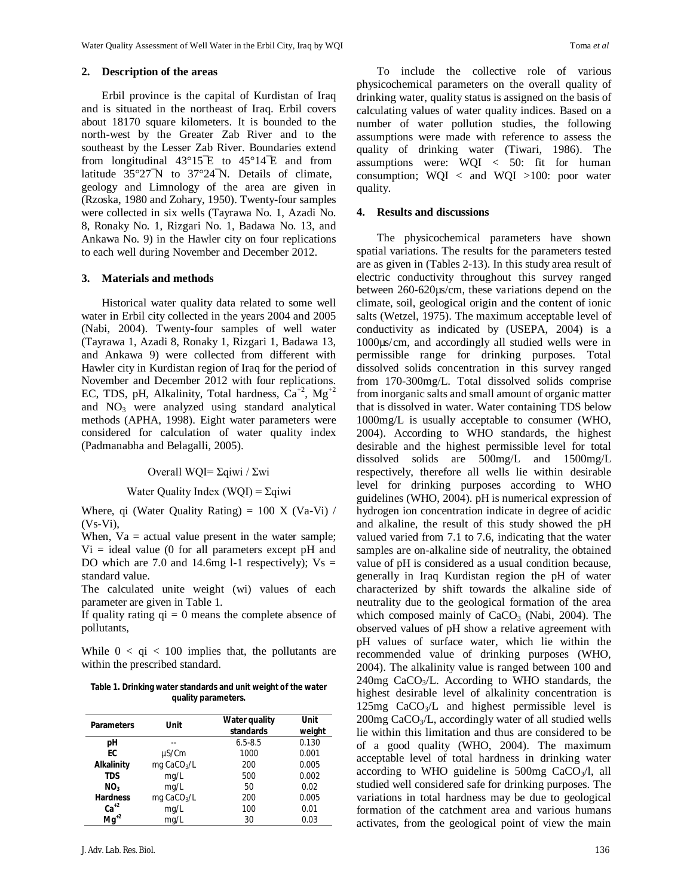#### **2. Description of the areas**

Erbil province is the capital of Kurdistan of Iraq and is situated in the northeast of Iraq. Erbil covers about 18170 square kilometers. It is bounded to the north-west by the Greater Zab River and to the southeast by the Lesser Zab River. Boundaries extend from longitudinal  $43^{\circ}15^{\circ}E$  to  $45^{\circ}14^{\circ}E$  and from latitude 35°27¯N to 37°24¯N. Details of climate, geology and Limnology of the area are given in (Rzoska, 1980 and Zohary, 1950). Twenty-four samples were collected in six wells (Tayrawa No. 1, Azadi No. 8, Ronaky No. 1, Rizgari No. 1, Badawa No. 13, and Ankawa No. 9) in the Hawler city on four replications to each well during November and December 2012.

#### **3. Materials and methods**

Historical water quality data related to some well water in Erbil city collected in the years 2004 and 2005 (Nabi, 2004). Twenty-four samples of well water (Tayrawa 1, Azadi 8, Ronaky 1, Rizgari 1, Badawa 13, and Ankawa 9) were collected from different with Hawler city in Kurdistan region of Iraq for the period of November and December 2012 with four replications. EC, TDS, pH, Alkalinity, Total hardness,  $\text{Ca}^{+2}$ , Mg<sup>+2</sup> and  $NO<sub>3</sub>$  were analyzed using standard analytical methods (APHA, 1998). Eight water parameters were considered for calculation of water quality index (Padmanabha and Belagalli, 2005).

#### Overall WQI= Σqiwi / Σwi

Water Quality Index (WQI) =  $\Sigma$ qiwi

Where, qi (Water Quality Rating) =  $100 \text{ X}$  (Va-Vi) /  $(Vs-Vi)$ ,

When,  $Va = actual value$  present in the water sample;  $Vi = ideal$  value (0 for all parameters except pH and DO which are 7.0 and 14.6mg l-1 respectively);  $Vs =$ standard value.

The calculated unite weight (wi) values of each parameter are given in Table 1.

If quality rating  $qi = 0$  means the complete absence of pollutants,

While  $0 < qi < 100$  implies that, the pollutants are within the prescribed standard.

**Table 1. Drinking water standards and unit weight of the water quality parameters.**

| <b>Parameters</b> | Unit                    | <b>Water quality</b><br>standards | Unit<br>weight |
|-------------------|-------------------------|-----------------------------------|----------------|
| рH                |                         | $6.5 - 8.5$                       | 0.130          |
| FC.               | µS/Cm                   | 1000                              | 0.001          |
| <b>Alkalinity</b> | mg CaCO <sub>3</sub> /L | 200                               | 0.005          |
| TDS               | mq/L                    | 500                               | 0.002          |
| NO <sub>3</sub>   | mq/L                    | 50                                | 0.02           |
| <b>Hardness</b>   | mg $CaCO3/L$            | 200                               | 0.005          |
| $Ca+2$            | mg/L                    | 100                               | 0.01           |
| $Mq^{2}$          | mg/L                    | 30                                | 0.03           |

To include the collective role of various physicochemical parameters on the overall quality of drinking water, quality status is assigned on the basis of calculating values of water quality indices. Based on a number of water pollution studies, the following assumptions were made with reference to assess the quality of drinking water (Tiwari, 1986). The assumptions were: WQI < 50: fit for human consumption;  $WQI \leq and WQI \geq 100$ : poor water quality.

#### **4. Results and discussions**

The physicochemical parameters have shown spatial variations. The results for the parameters tested are as given in (Tables 2-13). In this study area result of electric conductivity throughout this survey ranged between 260-620µs/cm, these variations depend on the climate, soil, geological origin and the content of ionic salts (Wetzel, 1975). The maximum acceptable level of conductivity as indicated by (USEPA, 2004) is a 1000µs/cm, and accordingly all studied wells were in permissible range for drinking purposes. Total dissolved solids concentration in this survey ranged from 170-300mg/L. Total dissolved solids comprise from inorganic salts and small amount of organic matter that is dissolved in water. Water containing TDS below 1000mg/L is usually acceptable to consumer (WHO, 2004). According to WHO standards, the highest desirable and the highest permissible level for total dissolved solids are 500mg/L and 1500mg/L respectively, therefore all wells lie within desirable level for drinking purposes according to WHO guidelines (WHO, 2004). pH is numerical expression of hydrogen ion concentration indicate in degree of acidic and alkaline, the result of this study showed the pH valued varied from 7.1 to 7.6, indicating that the water samples are on-alkaline side of neutrality, the obtained value of pH is considered as a usual condition because, generally in Iraq Kurdistan region the pH of water characterized by shift towards the alkaline side of neutrality due to the geological formation of the area which composed mainly of  $CaCO<sub>3</sub>$  (Nabi, 2004). The observed values of pH show a relative agreement with pH values of surface water, which lie within the recommended value of drinking purposes (WHO, 2004). The alkalinity value is ranged between 100 and  $240$ mg CaCO<sub>3</sub>/L. According to WHO standards, the highest desirable level of alkalinity concentration is 125mg CaCO3/L and highest permissible level is  $200$ mg CaCO<sub>3</sub>/L, accordingly water of all studied wells lie within this limitation and thus are considered to be of a good quality (WHO, 2004). The maximum acceptable level of total hardness in drinking water according to WHO guideline is  $500mg$  CaCO<sub>3</sub>/l, all studied well considered safe for drinking purposes. The variations in total hardness may be due to geological formation of the catchment area and various humans activates, from the geological point of view the main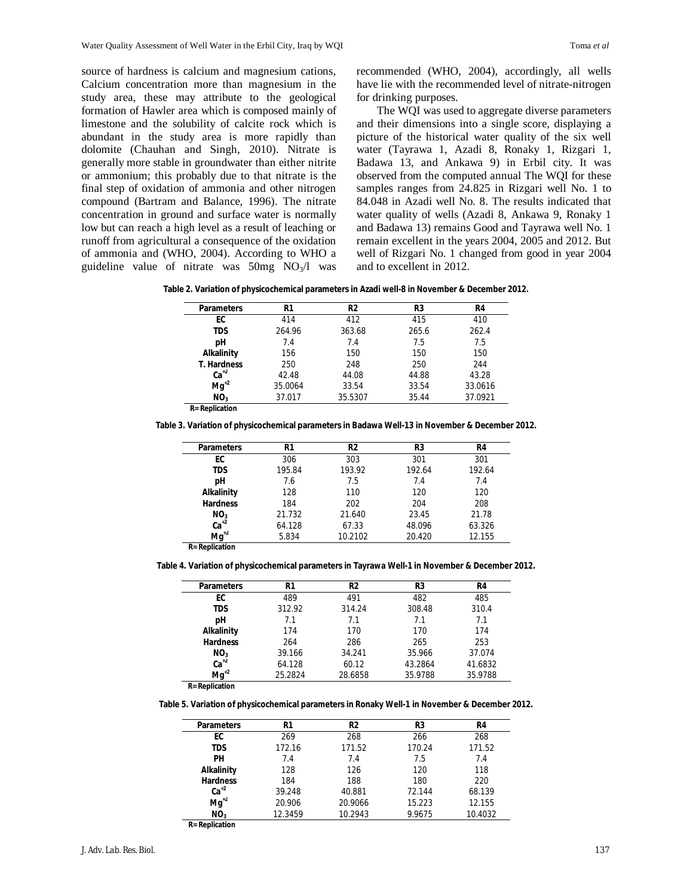source of hardness is calcium and magnesium cations, Calcium concentration more than magnesium in the study area, these may attribute to the geological formation of Hawler area which is composed mainly of limestone and the solubility of calcite rock which is abundant in the study area is more rapidly than dolomite (Chauhan and Singh, 2010). Nitrate is generally more stable in groundwater than either nitrite or ammonium; this probably due to that nitrate is the final step of oxidation of ammonia and other nitrogen compound (Bartram and Balance, 1996). The nitrate concentration in ground and surface water is normally low but can reach a high level as a result of leaching or runoff from agricultural a consequence of the oxidation of ammonia and (WHO, 2004). According to WHO a guideline value of nitrate was  $50mg$  NO<sub>3</sub>/l was

recommended (WHO, 2004), accordingly, all wells have lie with the recommended level of nitrate-nitrogen for drinking purposes.

The WQI was used to aggregate diverse parameters and their dimensions into a single score, displaying a picture of the historical water quality of the six well water (Tayrawa 1, Azadi 8, Ronaky 1, Rizgari 1, Badawa 13, and Ankawa 9) in Erbil city. It was observed from the computed annual The WQI for these samples ranges from 24.825 in Rizgari well No. 1 to 84.048 in Azadi well No. 8. The results indicated that water quality of wells (Azadi 8, Ankawa 9, Ronaky 1 and Badawa 13) remains Good and Tayrawa well No. 1 remain excellent in the years 2004, 2005 and 2012. But well of Rizgari No. 1 changed from good in year 2004 and to excellent in 2012.

**Table 2. Variation of physicochemical parameters in Azadi well-8 in November & December 2012.**

| <b>Parameters</b>      | R1      | R <sub>2</sub> | R3    | R4      |
|------------------------|---------|----------------|-------|---------|
| EC                     | 414     | 412            | 415   | 410     |
| TDS                    | 264.96  | 363.68         | 265.6 | 262.4   |
| рH                     | 7.4     | 7.4            | 7.5   | 7.5     |
| <b>Alkalinity</b>      | 156     | 150            | 150   | 150     |
| <b>T. Hardness</b>     | 250     | 248            | 250   | 244     |
| $Ca+2$                 | 42.48   | 44.08          | 44.88 | 43.28   |
| $Mg^{+2}$              | 35.0064 | 33.54          | 33.54 | 33.0616 |
| NO <sub>3</sub>        | 37.017  | 35.5307        | 35.44 | 37.0921 |
| <b>R</b> = Replication |         |                |       |         |

**Table 3. Variation of physicochemical parameters in Badawa Well-13 in November & December 2012.**

| <b>Parameters</b>      | R1     | R <sub>2</sub> | R3     | R4     |
|------------------------|--------|----------------|--------|--------|
| EC                     | 306    | 303            | 301    | 301    |
| TDS                    | 195.84 | 193.92         | 192.64 | 192.64 |
| рH                     | 7.6    | 7.5            | 7.4    | 7.4    |
| Alkalinity             | 128    | 110            | 120    | 120    |
| <b>Hardness</b>        | 184    | 202            | 204    | 208    |
| NO <sub>3</sub>        | 21.732 | 21.640         | 23.45  | 21.78  |
| $Ca^{+2}$              | 64.128 | 67.33          | 48.096 | 63.326 |
| $Mg^{+2}$              | 5.834  | 10.2102        | 20.420 | 12.155 |
| <b>R</b> = Replication |        |                |        |        |

**Table 4. Variation of physicochemical parameters in Tayrawa Well-1 in November & December 2012.**

| <b>Parameters</b> | R1      | R <sub>2</sub> | R <sub>3</sub> | R4      |
|-------------------|---------|----------------|----------------|---------|
| EC                | 489     | 491            | 482            | 485     |
| <b>TDS</b>        | 312.92  | 314.24         | 308.48         | 310.4   |
| pН                | 7.1     | 7.1            | 7.1            | 7.1     |
| Alkalinity        | 174     | 170            | 170            | 174     |
| <b>Hardness</b>   | 264     | 286            | 265            | 253     |
| NO <sub>3</sub>   | 39.166  | 34.241         | 35.966         | 37.074  |
| $Ca+2$            | 64.128  | 60.12          | 43.2864        | 41.6832 |
| $Mg^{2}$          | 25.2824 | 28.6858        | 35.9788        | 35.9788 |
| $\cdots$<br>- -   |         |                |                |         |

**R= Replication**

**Table 5. Variation of physicochemical parameters in Ronaky Well-1 in November & December 2012.**

| <b>Parameters</b>      | R1      | R2      | R3     | R4      |
|------------------------|---------|---------|--------|---------|
| EC                     | 269     | 268     | 266    | 268     |
| TDS                    | 172.16  | 171.52  | 170.24 | 171.52  |
| PН                     | 7.4     | 7.4     | 7.5    | 7.4     |
| <b>Alkalinity</b>      | 128     | 126     | 120    | 118     |
| <b>Hardness</b>        | 184     | 188     | 180    | 220     |
| $Ca+2$                 | 39.248  | 40.881  | 72.144 | 68.139  |
| $Mg^{+2}$              | 20.906  | 20.9066 | 15.223 | 12.155  |
| NO <sub>3</sub>        | 12.3459 | 10.2943 | 9.9675 | 10.4032 |
| <b>R</b> = Replication |         |         |        |         |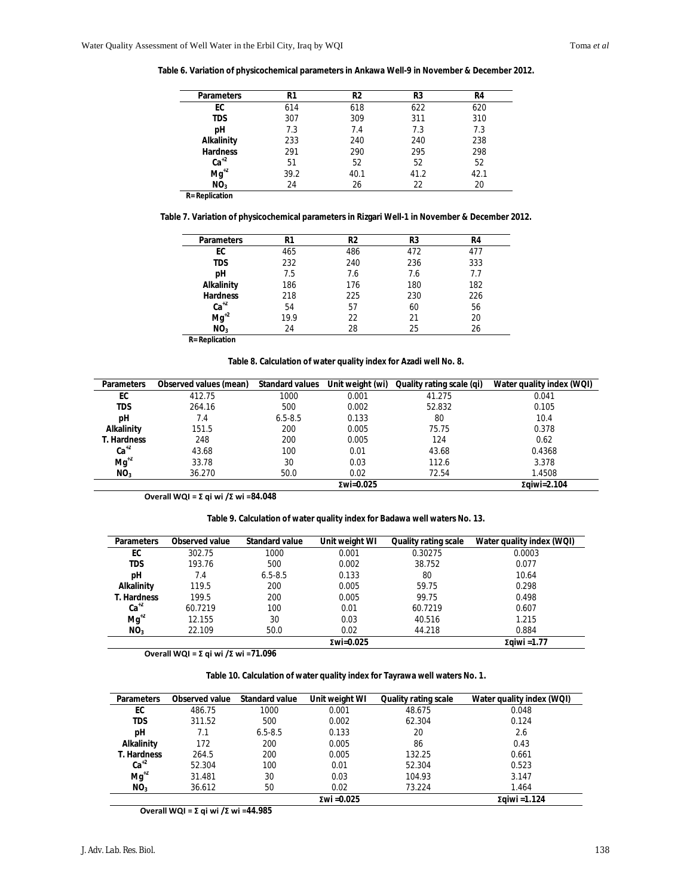**Table 6. Variation of physicochemical parameters in Ankawa Well-9 in November & December 2012.**

| <b>Parameters</b>     | R1   | R <sub>2</sub> | R3   | R4   |  |
|-----------------------|------|----------------|------|------|--|
| EC                    | 614  | 618            | 622  | 620  |  |
| TDS                   | 307  | 309            | 311  | 310  |  |
| рH                    | 7.3  | 7.4            | 7.3  | 7.3  |  |
| <b>Alkalinity</b>     | 233  | 240            | 240  | 238  |  |
| <b>Hardness</b>       | 291  | 290            | 295  | 298  |  |
| $Ca+2$                | 51   | 52             | 52   | 52   |  |
| $Mg^{+2}$             | 39.2 | 40.1           | 41.2 | 42.1 |  |
| NO <sub>3</sub>       | 24   | 26             | 22   | 20   |  |
| <b>R= Replication</b> |      |                |      |      |  |

**Table 7. Variation of physicochemical parameters in Rizgari Well-1 in November & December 2012.**

| <b>Parameters</b> | R1   | R2  | R3  | R4  |  |
|-------------------|------|-----|-----|-----|--|
| EC                | 465  | 486 | 472 | 477 |  |
| TDS               | 232  | 240 | 236 | 333 |  |
| pН                | 7.5  | 7.6 | 7.6 | 7.7 |  |
| Alkalinity        | 186  | 176 | 180 | 182 |  |
| <b>Hardness</b>   | 218  | 225 | 230 | 226 |  |
| $Ca^{+2}$         | 54   | 57  | 60  | 56  |  |
| $Mg^{+2}$         | 19.9 | 22  | 21  | 20  |  |
| NO <sub>3</sub>   | 24   | 28  | 25  | 26  |  |

**R= Replication**

**Table 8. Calculation of water quality index for Azadi well No. 8.**

| <b>Parameters</b>  | Observed values (mean) | <b>Standard values</b> | Unit weight (wi) | Quality rating scale (qi) | Water quality index (WQI) |
|--------------------|------------------------|------------------------|------------------|---------------------------|---------------------------|
| EC                 | 412.75                 | 1000                   | 0.001            | 41.275                    | 0.041                     |
| <b>TDS</b>         | 264.16                 | 500                    | 0.002            | 52.832                    | 0.105                     |
| рH                 | 7.4                    | $6.5 - 8.5$            | 0.133            | 80                        | 10.4                      |
| Alkalinity         | 151.5                  | 200                    | 0.005            | 75.75                     | 0.378                     |
| <b>T. Hardness</b> | 248                    | 200                    | 0.005            | 124                       | 0.62                      |
| $Ca+2$             | 43.68                  | 100                    | 0.01             | 43.68                     | 0.4368                    |
| $Mg^{12}$          | 33.78                  | 30                     | 0.03             | 112.6                     | 3.378                     |
| NO <sub>3</sub>    | 36.270                 | 50.0                   | 0.02             | 72.54                     | 1.4508                    |
|                    |                        |                        | $xwi=0.025$      |                           | Σαίωί=2.104               |

**Overall WQI = Σ qi wi /Σ wi =84.048**

**Table 9. Calculation of water quality index for Badawa well waters No. 13.**

| <b>Parameters</b>  | Observed value | <b>Standard value</b> | Unit weight WI | <b>Quality rating scale</b> | Water quality index (WQI) |
|--------------------|----------------|-----------------------|----------------|-----------------------------|---------------------------|
| EC                 | 302.75         | 1000                  | 0.001          | 0.30275                     | 0.0003                    |
| TDS                | 193.76         | 500                   | 0.002          | 38.752                      | 0.077                     |
| рH                 | 7.4            | $6.5 - 8.5$           | 0.133          | 80                          | 10.64                     |
| Alkalinity         | 119.5          | 200                   | 0.005          | 59.75                       | 0.298                     |
| <b>T. Hardness</b> | 199.5          | 200                   | 0.005          | 99.75                       | 0.498                     |
| $Ca+2$             | 60.7219        | 100                   | 0.01           | 60.7219                     | 0.607                     |
| $Mg^{+2}$          | 12.155         | 30                    | 0.03           | 40.516                      | 1.215                     |
| NO <sub>3</sub>    | 22.109         | 50.0                  | 0.02           | 44.218                      | 0.884                     |
|                    |                |                       | $xwi=0.025$    |                             | Σαίωί = 1.77              |

**Overall WQI = Σ qi wi /Σ wi =71.096**

**Table 10. Calculation of water quality index for Tayrawa well waters No. 1.**

| <b>Parameters</b>  | Observed value | <b>Standard value</b> | Unit weight WI | <b>Quality rating scale</b> | Water quality index (WQI) |
|--------------------|----------------|-----------------------|----------------|-----------------------------|---------------------------|
| EC                 | 486.75         | 1000                  | 0.001          | 48.675                      | 0.048                     |
| TDS                | 311.52         | 500                   | 0.002          | 62.304                      | 0.124                     |
| рH                 | 7.1            | $6.5 - 8.5$           | 0.133          | 20                          | 2.6                       |
| Alkalinity         | 172            | 200                   | 0.005          | 86                          | 0.43                      |
| <b>T. Hardness</b> | 264.5          | 200                   | 0.005          | 132.25                      | 0.661                     |
| $Ca+2$             | 52.304         | 100                   | 0.01           | 52.304                      | 0.523                     |
| $Mq^{2}$           | 31.481         | 30                    | 0.03           | 104.93                      | 3.147                     |
| NO <sub>3</sub>    | 36.612         | 50                    | 0.02           | 73.224                      | 1.464                     |
|                    |                |                       | Σwi = $0.025$  |                             | Σαίωί = 1.124             |

**Overall WQI = Σ qi wi /Σ wi =44.985**

i<br>L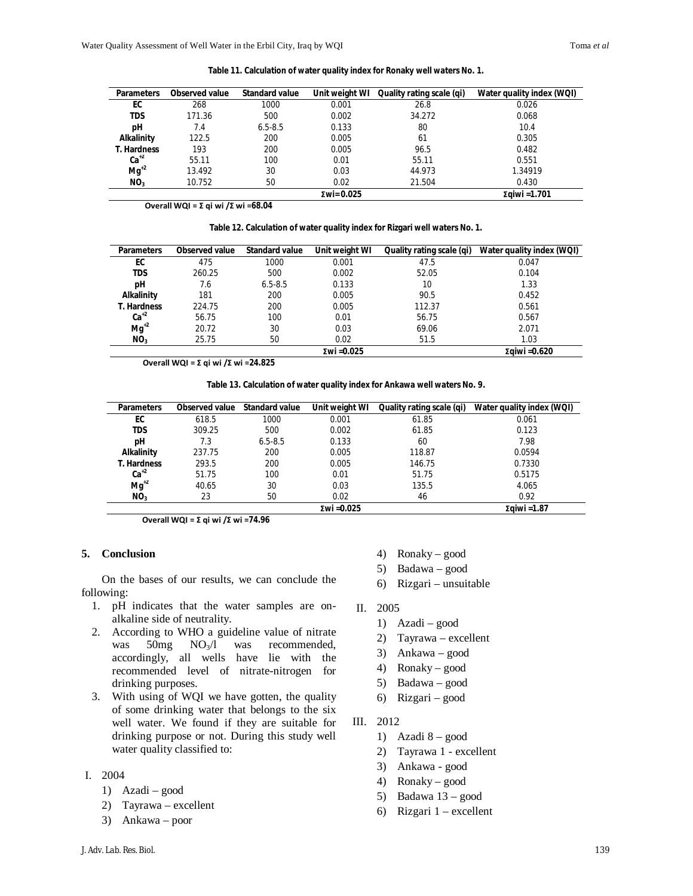| <b>Parameters</b>  | <b>Observed value</b> | <b>Standard value</b> | Unit weight WI     | Quality rating scale (qi) | Water quality index (WQI) |
|--------------------|-----------------------|-----------------------|--------------------|---------------------------|---------------------------|
| EC                 | 268                   | 1000                  | 0.001              | 26.8                      | 0.026                     |
| <b>TDS</b>         | 171.36                | 500                   | 0.002              | 34.272                    | 0.068                     |
| рH                 | 7.4                   | $6.5 - 8.5$           | 0.133              | 80                        | 10.4                      |
| Alkalinity         | 122.5                 | 200                   | 0.005              | 61                        | 0.305                     |
| <b>T. Hardness</b> | 193                   | 200                   | 0.005              | 96.5                      | 0.482                     |
| $Ca+2$             | 55.11                 | 100                   | 0.01               | 55.11                     | 0.551                     |
| $Ma^{2}$           | 13.492                | 30                    | 0.03               | 44.973                    | 1.34919                   |
| NO <sub>3</sub>    | 10.752                | 50                    | 0.02               | 21.504                    | 0.430                     |
|                    |                       |                       | $\Sigma$ wi= 0.025 |                           | Σgiwi = 1.701             |

**Table 11. Calculation of water quality index for Ronaky well waters No. 1.**

**Overall WQI = Σ qi wi /Σ wi =68.04**

| <b>Parameters</b>  | Observed value | <b>Standard value</b> | Unit weight WI | Quality rating scale (qi) | Water quality index (WQI) |
|--------------------|----------------|-----------------------|----------------|---------------------------|---------------------------|
| EC                 | 475            | 1000                  | 0.001          | 47.5                      | 0.047                     |
| <b>TDS</b>         | 260.25         | 500                   | 0.002          | 52.05                     | 0.104                     |
| рH                 | 7.6            | $6.5 - 8.5$           | 0.133          | 10                        | 1.33                      |
| <b>Alkalinity</b>  | 181            | 200                   | 0.005          | 90.5                      | 0.452                     |
| <b>T. Hardness</b> | 224.75         | 200                   | 0.005          | 112.37                    | 0.561                     |
| $Ca+2$             | 56.75          | 100                   | 0.01           | 56.75                     | 0.567                     |
| $Mg^{12}$          | 20.72          | 30                    | 0.03           | 69.06                     | 2.071                     |
| NO <sub>3</sub>    | 25.75          | 50                    | 0.02           | 51.5                      | 1.03                      |
| Σwi = $0.025$      |                |                       |                |                           | Σαίwi = $0.620$           |

**Overall WQI = Σ qi wi /Σ wi =24.825**

**Table 13. Calculation of water quality index for Ankawa well waters No. 9.**

| <b>Parameters</b>  | Observed value | <b>Standard value</b> | Unit weight WI | Quality rating scale (qi) | Water quality index (WQI) |
|--------------------|----------------|-----------------------|----------------|---------------------------|---------------------------|
| EC                 | 618.5          | 1000                  | 0.001          | 61.85                     | 0.061                     |
| <b>TDS</b>         | 309.25         | 500                   | 0.002          | 61.85                     | 0.123                     |
| pН                 | 7.3            | $6.5 - 8.5$           | 0.133          | 60                        | 7.98                      |
| Alkalinity         | 237.75         | 200                   | 0.005          | 118.87                    | 0.0594                    |
| <b>T. Hardness</b> | 293.5          | 200                   | 0.005          | 146.75                    | 0.7330                    |
| $Ca+2$             | 51.75          | 100                   | 0.01           | 51.75                     | 0.5175                    |
| $Mg^{12}$          | 40.65          | 30                    | 0.03           | 135.5                     | 4.065                     |
| NO <sub>3</sub>    | 23             | 50                    | 0.02           | 46                        | 0.92                      |
|                    |                | Σαίωί = 1.87          |                |                           |                           |

**Overall WQI = Σ qi wi /Σ wi =74.96**

## **5. Conclusion**

On the bases of our results, we can conclude the following:

- 1. pH indicates that the water samples are onalkaline side of neutrality.
- 2. According to WHO a guideline value of nitrate was  $50mg$   $NO<sub>3</sub>/l$  was recommended, accordingly, all wells have lie with the recommended level of nitrate-nitrogen for drinking purposes.
- 3. With using of WQI we have gotten, the quality of some drinking water that belongs to the six well water. We found if they are suitable for drinking purpose or not. During this study well water quality classified to:

### I. 2004

- 1) Azadi good
- 2) Tayrawa excellent
- 3) Ankawa poor
- 4) Ronaky good
- 5) Badawa good
- 6) Rizgari unsuitable
- II. 2005
	- 1) Azadi good
	- 2) Tayrawa excellent
	- 3) Ankawa good
	- 4) Ronaky good
	- 5) Badawa good
	- 6) Rizgari good
- III. 2012
	- 1) Azadi  $8 good$
	- 2) Tayrawa 1 excellent
	- 3) Ankawa good
	- 4) Ronaky good
	- 5) Badawa 13 good
	- 6) Rizgari 1 excellent